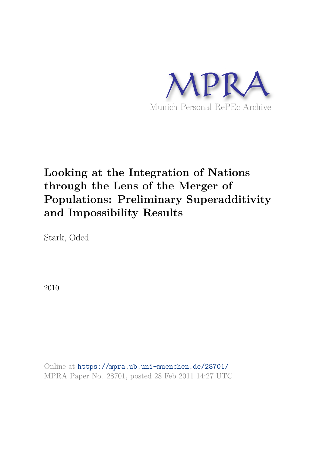

# **Looking at the Integration of Nations through the Lens of the Merger of Populations: Preliminary Superadditivity and Impossibility Results**

Stark, Oded

2010

Online at https://mpra.ub.uni-muenchen.de/28701/ MPRA Paper No. 28701, posted 28 Feb 2011 14:27 UTC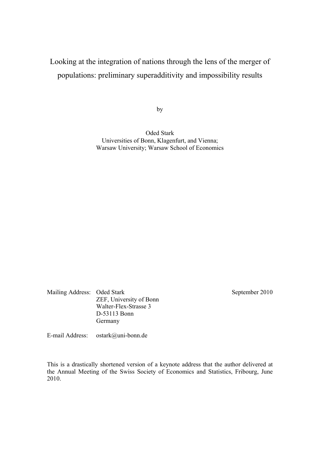## Looking at the integration of nations through the lens of the merger of populations: preliminary superadditivity and impossibility results

by

Oded Stark Universities of Bonn, Klagenfurt, and Vienna; Warsaw University; Warsaw School of Economics

Mailing Address: Oded Stark September 2010 ZEF, University of Bonn Walter-Flex-Strasse 3 D-53113 Bonn Germany

E-mail Address: ostark@uni-bonn.de

This is a drastically shortened version of a keynote address that the author delivered at the Annual Meeting of the Swiss Society of Economics and Statistics, Fribourg, June 2010.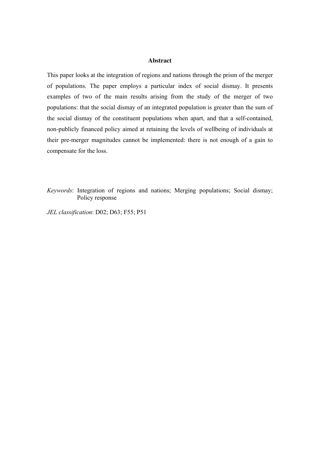#### **Abstract**

This paper looks at the integration of regions and nations through the prism of the merger of populations. The paper employs a particular index of social dismay. It presents examples of two of the main results arising from the study of the merger of two populations: that the social dismay of an integrated population is greater than the sum of the social dismay of the constituent populations when apart, and that a self-contained, non-publicly financed policy aimed at retaining the levels of wellbeing of individuals at their pre-merger magnitudes cannot be implemented: there is not enough of a gain to compensate for the loss.

*Keywords*: Integration of regions and nations; Merging populations; Social dismay; Policy response

*JEL classification*: D02; D63; F55; P51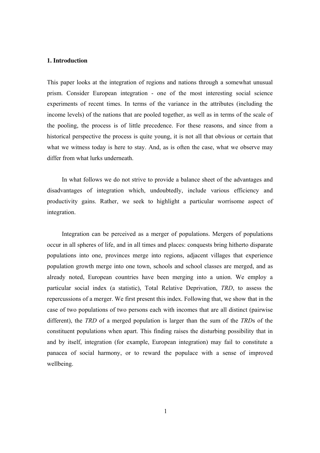#### **1. Introduction**

This paper looks at the integration of regions and nations through a somewhat unusual prism. Consider European integration - one of the most interesting social science experiments of recent times. In terms of the variance in the attributes (including the income levels) of the nations that are pooled together, as well as in terms of the scale of the pooling, the process is of little precedence. For these reasons, and since from a historical perspective the process is quite young, it is not all that obvious or certain that what we witness today is here to stay. And, as is often the case, what we observe may differ from what lurks underneath.

In what follows we do not strive to provide a balance sheet of the advantages and disadvantages of integration which, undoubtedly, include various efficiency and productivity gains. Rather, we seek to highlight a particular worrisome aspect of integration.

Integration can be perceived as a merger of populations. Mergers of populations occur in all spheres of life, and in all times and places: conquests bring hitherto disparate populations into one, provinces merge into regions, adjacent villages that experience population growth merge into one town, schools and school classes are merged, and as already noted, European countries have been merging into a union. We employ a particular social index (a statistic), Total Relative Deprivation, *TRD*, to assess the repercussions of a merger. We first present this index. Following that, we show that in the case of two populations of two persons each with incomes that are all distinct (pairwise different), the *TRD* of a merged population is larger than the sum of the *TRD*s of the constituent populations when apart. This finding raises the disturbing possibility that in and by itself, integration (for example, European integration) may fail to constitute a panacea of social harmony, or to reward the populace with a sense of improved wellbeing.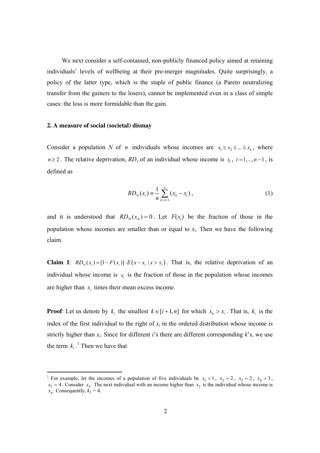We next consider a self-contained, non-publicly financed policy aimed at retaining individuals' levels of wellbeing at their pre-merger magnitudes. Quite surprisingly, a policy of the latter type, which is the staple of public finance (a Pareto neutralizing transfer from the gainers to the losers), cannot be implemented even in a class of simple cases: the loss is more formidable than the gain.

#### **2. A measure of social (societal) dismay**

Consider a population *N* of *n* individuals whose incomes are  $x_1 \le x_2 \le ... \le x_n$ , where *n* ≥ 2. The relative deprivation, *RD*, of an individual whose income is  $x_i$ , *i* = 1,..., *n* − 1, is defined as

$$
RD_N(x_i) = \frac{1}{n} \sum_{k=i+1}^{n} (x_k - x_i),
$$
\n(1)

and it is understood that  $RD_N(x_n) = 0$ . Let  $F(x_i)$  be the fraction of those in the population whose incomes are smaller than or equal to *x<sup>i</sup>* . Then we have the following claim.

**Claim 1**:  $RD_{\gamma}(x_i) = [1 - F(x_i)] \cdot E(x - x_i | x > x_i)$ . That is, the relative deprivation of an individual whose income is  $x_i$  is the fraction of those in the population whose incomes are higher than  $x_i$  times their mean excess income.

**Proof**: Let us denote by  $k_i$  the smallest  $k \in [i+1, n]$  for which  $x_k > x_i$ . That is,  $k_i$  is the index of the first individual to the right of  $x_i$  in the ordered distribution whose income is strictly higher than  $x_i$ . Since for different *i*'s there are different corresponding  $k$ 's, we use the term  $k_i$ .<sup>1</sup> Then we have that

<sup>&</sup>lt;sup>1</sup> For example, let the incomes of a population of five individuals be  $x_1 = 1$ ,  $x_2 = 2$ ,  $x_3 = 2$ ,  $x_4 = 3$ ,  $x_5 = 4$ . Consider  $x_2$ . The next individual with an income higher than  $x_2$  is the individual whose income is  $x_4$ . Consequently,  $k_2 = 4$ .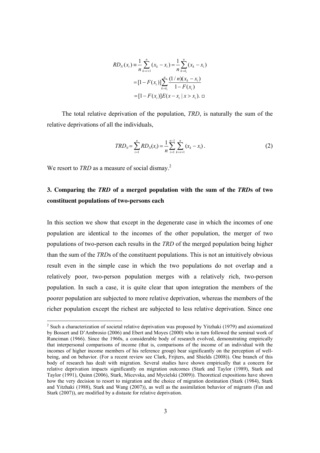$$
RD_N(x_i) = \frac{1}{n} \sum_{k=i+1}^n (x_k - x_i) = \frac{1}{n} \sum_{k=k_i}^n (x_k - x_i)
$$
  
= 
$$
[1 - F(x_i)] \sum_{k=k_i}^n \frac{(1/n)(x_k - x_i)}{1 - F(x_i)}
$$
  
= 
$$
[1 - F(x_i)]E(x - x_i | x > x_i).
$$

The total relative deprivation of the population, *TRD*, is naturally the sum of the relative deprivations of all the individuals,

$$
TRD_N = \sum_{i=1}^n RD_N(x_i) = \frac{1}{n} \sum_{i=1}^{n-1} \sum_{k=i+1}^n (x_k - x_i).
$$
 (2)

We resort to *TRD* as a measure of social dismay.<sup>2</sup>

### **3. Comparing the** *TRD* **of a merged population with the sum of the** *TRD***s of two constituent populations of two-persons each**

In this section we show that except in the degenerate case in which the incomes of one population are identical to the incomes of the other population, the merger of two populations of two-person each results in the *TRD* of the merged population being higher than the sum of the *TRD*s of the constituent populations. This is not an intuitively obvious result even in the simple case in which the two populations do not overlap and a relatively poor, two-person population merges with a relatively rich, two-person population. In such a case, it is quite clear that upon integration the members of the poorer population are subjected to more relative deprivation, whereas the members of the richer population except the richest are subjected to less relative deprivation. Since one

<sup>&</sup>lt;sup>2</sup> Such a characterization of societal relative deprivation was proposed by Yitzhaki (1979) and axiomatized by Bossert and D'Ambrosio (2006) and Ebert and Moyes (2000) who in turn followed the seminal work of Runciman (1966). Since the 1960s, a considerable body of research evolved, demonstrating empirically that interpersonal comparisons of income (that is, comparisons of the income of an individual with the incomes of higher income members of his reference group) bear significantly on the perception of wellbeing, and on behavior. (For a recent review see Clark, Frijters, and Shields (2008)). One branch of this body of research has dealt with migration. Several studies have shown empirically that a concern for relative deprivation impacts significantly on migration outcomes (Stark and Taylor (1989), Stark and Taylor (1991), Quinn (2006), Stark, Micevska, and Mycielski (2009)). Theoretical expositions have shown how the very decision to resort to migration and the choice of migration destination (Stark (1984), Stark and Yitzhaki (1988), Stark and Wang (2007)), as well as the assimilation behavior of migrants (Fan and Stark (2007)), are modified by a distaste for relative deprivation.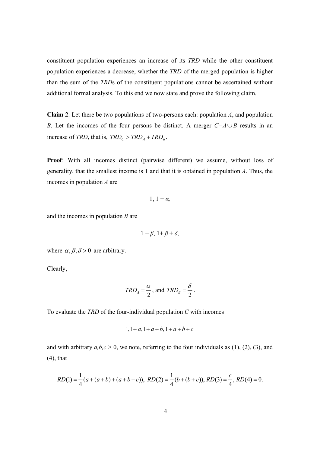constituent population experiences an increase of its *TRD* while the other constituent population experiences a decrease, whether the *TRD* of the merged population is higher than the sum of the *TRD*s of the constituent populations cannot be ascertained without additional formal analysis. To this end we now state and prove the following claim.

**Claim 2**: Let there be two populations of two-persons each: population *A*, and population *B*. Let the incomes of the four persons be distinct. A merger  $C = A \cup B$  results in an increase of *TRD*, that is,  $TRD_C > TRD_A + TRD_B$ .

**Proof**: With all incomes distinct (pairwise different) we assume, without loss of generality, that the smallest income is 1 and that it is obtained in population *A*. Thus, the incomes in population *A* are

$$
1, 1+\alpha,
$$

and the incomes in population *B* are

$$
1+\beta, 1+\beta+\delta,
$$

where  $\alpha$ ,  $\beta$ ,  $\delta$  > 0 are arbitrary.

Clearly,

$$
TRD_A = \frac{\alpha}{2}, \text{ and } TRD_B = \frac{\delta}{2}.
$$

To evaluate the *TRD* of the four-individual population *C* with incomes

$$
1, 1+a, 1+a+b, 1+a+b+c
$$

and with arbitrary  $a,b,c > 0$ , we note, referring to the four individuals as (1), (2), (3), and (4), that

$$
RD(1) = \frac{1}{4}(a + (a + b) + (a + b + c)), RD(2) = \frac{1}{4}(b + (b + c)), RD(3) = \frac{c}{4}, RD(4) = 0.
$$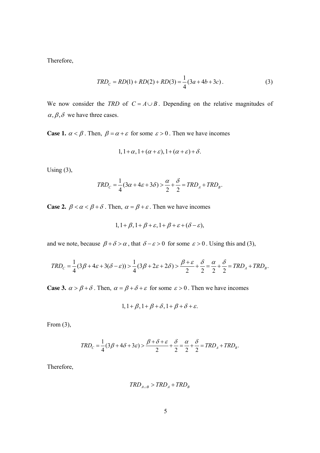Therefore,

$$
TRD_C = RD(1) + RD(2) + RD(3) = \frac{1}{4}(3a + 4b + 3c). \tag{3}
$$

We now consider the *TRD* of  $C = A \cup B$ . Depending on the relative magnitudes of  $\alpha, \beta, \delta$  we have three cases.

**Case 1.**  $\alpha < \beta$ . Then,  $\beta = \alpha + \varepsilon$  for some  $\varepsilon > 0$ . Then we have incomes

$$
1, 1+\alpha, 1+(\alpha+\varepsilon), 1+(\alpha+\varepsilon)+\delta.
$$

Using  $(3)$ ,

$$
TRD_C = \frac{1}{4}(3\alpha + 4\varepsilon + 3\delta) > \frac{\alpha}{2} + \frac{\delta}{2} = TRD_A + TRD_B.
$$

**Case 2.**  $\beta < \alpha < \beta + \delta$ . Then,  $\alpha = \beta + \varepsilon$ . Then we have incomes

$$
1, 1+\beta, 1+\beta+\varepsilon, 1+\beta+\varepsilon+(\delta-\varepsilon),
$$

and we note, because  $\beta + \delta > \alpha$ , that  $\delta - \varepsilon > 0$  for some  $\varepsilon > 0$ . Using this and (3),

$$
TRD_C = \frac{1}{4}(3\beta + 4\varepsilon + 3(\delta - \varepsilon)) > \frac{1}{4}(3\beta + 2\varepsilon + 2\delta) > \frac{\beta + \varepsilon}{2} + \frac{\delta}{2} = \frac{\alpha}{2} + \frac{\delta}{2} = TRD_A + TRD_B.
$$

**Case 3.**  $\alpha > \beta + \delta$ . Then,  $\alpha = \beta + \delta + \varepsilon$  for some  $\varepsilon > 0$ . Then we have incomes

$$
1, 1+\beta, 1+\beta+\delta, 1+\beta+\delta+\varepsilon.
$$

From  $(3)$ ,

$$
TRD_C = \frac{1}{4}(3\beta + 4\delta + 3\varepsilon) > \frac{\beta + \delta + \varepsilon}{2} + \frac{\delta}{2} = \frac{\alpha}{2} + \frac{\delta}{2} = TRD_A + TRD_B.
$$

Therefore,

$$
TRD_{A\cup B} > TRD_A + TRD_B
$$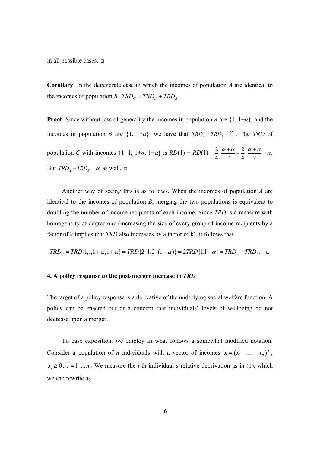in all possible cases.  $\Box$ 

**Corollary**: In the degenerate case in which the incomes of population *A* are identical to the incomes of population *B*,  $TRD_C = TRD_A + TRD_B$ .

**Proof**: Since without loss of generality the incomes in population *A* are {1, 1+*α*}, and the incomes in population *B* are  $\{1, 1+a\}$ , we have that  $TRD_A = TRD_B = \frac{\alpha}{2}$ . The *TRD* of population *C* with incomes  $\{1, 1, 1+a, 1+a\}$  is  $RD(1) + RD(1) = \frac{2}{3} \cdot \frac{\alpha + \alpha}{2} + \frac{2}{3} \cdot \frac{\alpha + \alpha}{2} = \alpha$ . 42 42  $\cdot \frac{\alpha + \alpha}{\alpha + \alpha} + \frac{2}{\alpha} \cdot \frac{\alpha + \alpha}{\alpha} = \alpha$ But  $TRD<sub>A</sub> + TRD<sub>B</sub> = \alpha$  as well.  $\Box$ 

Another way of seeing this is as follows. When the incomes of population *A* are identical to the incomes of population *B*, merging the two populations is equivalent to doubling the number of income recipients of each income. Since *TRD* is a measure with homogeneity of degree one (increasing the size of every group of income recipients by a factor of k implies that *TRD* also increases by a factor of k), it follows that

$$
TRD_C = TRD\{1, 1, 1 + \alpha, 1 + \alpha\} = TRD\{2 \cdot 1, 2 \cdot (1 + \alpha)\} = 2TRD\{1, 1 + \alpha\} = TRD_A + TRD_B.
$$

#### **4. A policy response to the post-merger increase in** *TRD*

The target of a policy response is a derivative of the underlying social welfare function. A policy can be enacted out of a concern that individuals' levels of wellbeing do not decrease upon a merger.

To ease exposition, we employ in what follows a somewhat modified notation. Consider a population of *n* individuals with a vector of incomes  $\mathbf{x} = (x_1 \dots x_n)^T$ ,  $x_i \geq 0$ ,  $i = 1,...,n$ . We measure the *i*-th individual's relative deprivation as in (1), which we can rewrite as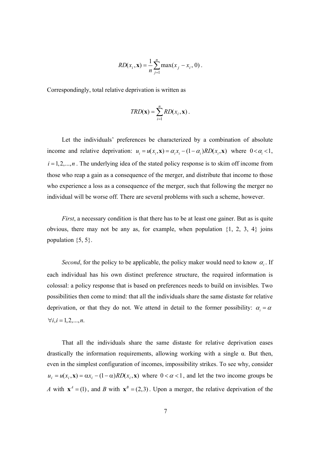$$
RD(x_i, \mathbf{x}) = \frac{1}{n} \sum_{j=1}^{n} \max(x_j - x_i, 0).
$$

Correspondingly, total relative deprivation is written as

$$
TRD(\mathbf{x}) = \sum_{i=1}^{n} RD(x_i, \mathbf{x}).
$$

Let the individuals' preferences be characterized by a combination of absolute income and relative deprivation:  $u_i = u(x_i, \mathbf{x}) = \alpha_i x_i - (1 - \alpha_i) R D(x_i, \mathbf{x})$  where  $0 < \alpha_i < 1$ ,  $i = 1, 2, \ldots, n$ . The underlying idea of the stated policy response is to skim off income from those who reap a gain as a consequence of the merger, and distribute that income to those who experience a loss as a consequence of the merger, such that following the merger no individual will be worse off. There are several problems with such a scheme, however.

*First*, a necessary condition is that there has to be at least one gainer. But as is quite obvious, there may not be any as, for example, when population  $\{1, 2, 3, 4\}$  joins population  $\{5, 5\}$ .

*Second*, for the policy to be applicable, the policy maker would need to know  $\alpha_i$ . If each individual has his own distinct preference structure, the required information is colossal: a policy response that is based on preferences needs to build on invisibles. Two possibilities then come to mind: that all the individuals share the same distaste for relative deprivation, or that they do not. We attend in detail to the former possibility:  $\alpha_i = \alpha$  $\forall i, i = 1, 2, ..., n.$ 

That all the individuals share the same distaste for relative deprivation eases drastically the information requirements, allowing working with a single α. But then, even in the simplest configuration of incomes, impossibility strikes. To see why, consider  $u_i = u(x_i, \mathbf{x}) = \alpha x_i - (1 - \alpha) R D(x_i, \mathbf{x})$  where  $0 < \alpha < 1$ , and let the two income groups be *A* with  $x^4 = (1)$ , and *B* with  $x^B = (2,3)$ . Upon a merger, the relative deprivation of the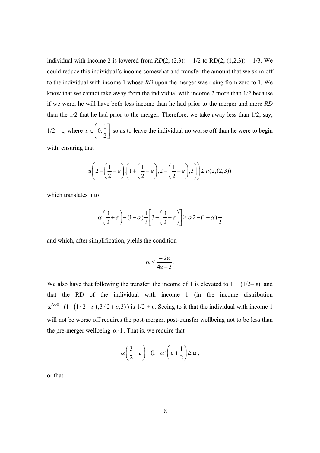individual with income 2 is lowered from  $RD(2, (2,3)) = 1/2$  to  $RD(2, (1,2,3)) = 1/3$ . We could reduce this individual's income somewhat and transfer the amount that we skim off to the individual with income 1 whose *RD* upon the merger was rising from zero to 1. We know that we cannot take away from the individual with income 2 more than 1/2 because if we were, he will have both less income than he had prior to the merger and more *RD* than the 1/2 that he had prior to the merger*.* Therefore, we take away less than 1/2, say, 1/2 – ε, where  $\varepsilon \in \left[0, \frac{1}{2}\right]$  $\varepsilon \in \left(0, \frac{1}{2}\right]$  so as to leave the individual no worse off than he were to begin with, ensuring that

$$
u\left(2-\left(\frac{1}{2}-\varepsilon\right), \left(1+\left(\frac{1}{2}-\varepsilon\right), 2-\left(\frac{1}{2}-\varepsilon\right), 3\right)\right) \geq u(2, (2, 3))
$$

which translates into

$$
\alpha \left(\frac{3}{2} + \varepsilon\right) - (1 - \alpha) \frac{1}{3} \left[ 3 - \left(\frac{3}{2} + \varepsilon\right) \right] \ge \alpha 2 - (1 - \alpha) \frac{1}{2}
$$

and which, after simplification, yields the condition

$$
\alpha\leq \frac{-2\epsilon}{4\epsilon-3}\,.
$$

We also have that following the transfer, the income of 1 is elevated to  $1 + (1/2 - \epsilon)$ , and that the RD of the individual with income 1 (in the income distribution  $\mathbf{x}^{\text{A}\cup\text{B}}$  =(1+(1/2- $\varepsilon$ ),3/2+ $\varepsilon$ ,3)) is 1/2 +  $\varepsilon$ . Seeing to it that the individual with income 1 will not be worse off requires the post-merger, post-transfer wellbeing not to be less than the pre-merger wellbeing  $\alpha \cdot 1$ . That is, we require that

$$
\alpha \left(\frac{3}{2} - \varepsilon\right) - (1 - \alpha) \left(\varepsilon + \frac{1}{2}\right) \ge \alpha,
$$

or that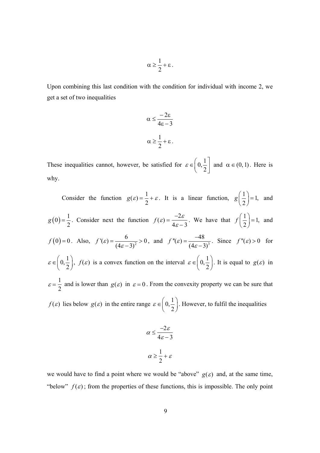$$
\alpha \geq \frac{1}{2} + \epsilon \, .
$$

Upon combining this last condition with the condition for individual with income 2, we get a set of two inequalities

$$
\alpha \leq \frac{-2\epsilon}{4\epsilon - 3}
$$

$$
\alpha \geq \frac{1}{2} + \epsilon.
$$

These inequalities cannot, however, be satisfied for  $\varepsilon \in \left[0, \frac{1}{2}\right]$  $\varepsilon \in \left(0, \frac{1}{2}\right]$ and  $\alpha \in (0,1)$ . Here is why.

Consider the function  $g(\varepsilon) = \frac{1}{2}$ 2 +  $\varepsilon$ . It is a linear function,  $g\left(\frac{1}{2}\right) = 1$ 2  $g\left(\frac{1}{2}\right) = 1$  and  $(0) = \frac{1}{2}$ 2  $g(0) = \frac{1}{2}$ . Consider next the function  $f(\varepsilon) = \frac{-2\varepsilon}{4}$  $4\varepsilon - 3$ . We have that  $f\left(\frac{1}{2}\right) = 1$ 2  $f\left(\frac{1}{2}\right) = 1$ , and  $f(0)=0$ . Also,  $f'(\varepsilon) = \frac{6}{(4\pi \epsilon)^{3/2}} > 0$  $(4\varepsilon - 3)$  $'(\varepsilon)$  : )  $f'(\varepsilon) = \frac{6}{(4\varepsilon - 3)^2}$  $=\frac{6}{(4\varepsilon-3)^2} > 0$ , and  $f''(\varepsilon) = \frac{-48}{(4\varepsilon-3)^3}$ ( ''(  $4\varepsilon - 3$ ) )  $f''(\varepsilon) = \frac{1}{(4\varepsilon)}$  $\mathcal{E}$ ) =  $\frac{1}{(4\varepsilon =\frac{-48}{(4-8)^3}$ . Since  $f''(\varepsilon) > 0$  for  $0,\frac{1}{2}$  $\varepsilon \in \left(0, \frac{1}{2}\right)$ ,  $f(\varepsilon)$  is a convex function on the interval  $\varepsilon \in \left(0, \frac{1}{2}\right)$  $\varepsilon \in \left(0, \frac{1}{2}\right)$ . It is equal to  $g(\varepsilon)$  in  $\varepsilon = \frac{1}{2}$ 2 and is lower than  $g(\varepsilon)$  in  $\varepsilon = 0$ . From the convexity property we can be sure that *f*(*ε*) lies below  $g(\varepsilon)$  in the entire range  $\varepsilon \in (0, \frac{1}{2})$  $\varepsilon \in \left(0, \frac{1}{2}\right)$ . However, to fulfil the inequalities

$$
\alpha \le \frac{-2\varepsilon}{4\varepsilon - 3}
$$

$$
\alpha \ge \frac{1}{2} + \varepsilon
$$

we would have to find a point where we would be "above"  $g(\varepsilon)$  and, at the same time, "below"  $f(\varepsilon)$ ; from the properties of these functions, this is impossible. The only point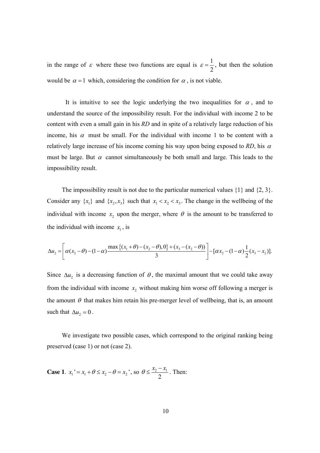in the range of  $\varepsilon$  where these two functions are equal is  $\varepsilon = \frac{1}{2}$ 2  $\varepsilon = \frac{1}{2}$ , but then the solution would be  $\alpha = 1$  which, considering the condition for  $\alpha$ , is not viable.

It is intuitive to see the logic underlying the two inequalities for  $\alpha$ , and to understand the source of the impossibility result. For the individual with income 2 to be content with even a small gain in his *RD* and in spite of a relatively large reduction of his income, his  $\alpha$  must be small. For the individual with income 1 to be content with a relatively large increase of his income coming his way upon being exposed to  $RD$ , his  $\alpha$ must be large. But  $\alpha$  cannot simultaneously be both small and large. This leads to the impossibility result.

The impossibility result is not due to the particular numerical values  $\{1\}$  and  $\{2, 3\}$ . Consider any  $\{x_1\}$  and  $\{x_2, x_3\}$  such that  $x_1 < x_2 < x_3$ . The change in the wellbeing of the individual with income  $x_2$  upon the merger, where  $\theta$  is the amount to be transferred to the individual with income  $x_1$ , is

$$
\Delta u_2 = \left[ \alpha (x_2 - \theta) - (1 - \alpha) \frac{\max\left\{ (x_1 + \theta) - (x_2 - \theta), 0 \right\} + (x_3 - (x_2 - \theta))}{3} \right] - [\alpha x_2 - (1 - \alpha) \frac{1}{2} (x_3 - x_2)].
$$

Since  $\Delta u_2$  is a decreasing function of  $\theta$ , the maximal amount that we could take away from the individual with income  $x_2$  without making him worse off following a merger is the amount  $\theta$  that makes him retain his pre-merger level of wellbeing, that is, an amount such that  $\Delta u_2 = 0$ .

We investigate two possible cases, which correspond to the original ranking being preserved (case 1) or not (case 2).

**Case 1**. 
$$
x_1' = x_1 + \theta \le x_2 - \theta = x_2'
$$
, so  $\theta \le \frac{x_2 - x_1}{2}$ . Then: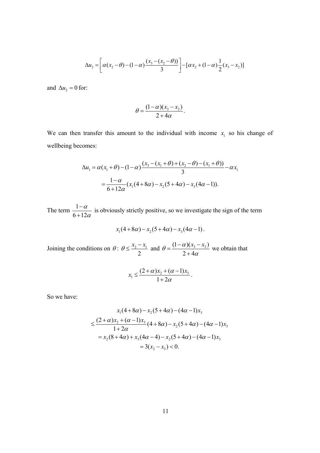$$
\Delta u_2 = \left[ \alpha (x_2 - \theta) - (1 - \alpha) \frac{(x_3 - (x_2 - \theta))}{3} \right] - [\alpha x_2 + (1 - \alpha) \frac{1}{2} (x_3 - x_2)]
$$

and  $\Delta u_2 = 0$  for:

$$
\theta = \frac{(1-\alpha)(x_3 - x_2)}{2+4\alpha}.
$$

.

We can then transfer this amount to the individual with income  $x<sub>1</sub>$  so his change of wellbeing becomes:

$$
\Delta u_1 = \alpha (x_1 + \theta) - (1 - \alpha) \frac{(x_3 - (x_1 + \theta) + (x_2 - \theta) - (x_1 + \theta))}{3} - \alpha x_1
$$
  
=  $\frac{1 - \alpha}{6 + 12\alpha} (x_1 (4 + 8\alpha) - x_2 (5 + 4\alpha) - x_3 (4\alpha - 1)).$ 

The term  $\frac{1}{6}$  $6 + 12$ α α − + is obviously strictly positive, so we investigate the sign of the term

$$
x_1(4+8\alpha)-x_2(5+4\alpha)-x_3(4\alpha-1).
$$

Joining the conditions on  $\theta$ :  $\theta \leq \frac{x_2 - x_1}{2}$ 2  $\theta \le \frac{x_2 - x_1}{2}$  and  $\theta = \frac{(1 - \alpha)(x_3 - x_2)}{2}$  $2 + 4$  $\theta = \frac{(1-\alpha)(x_3 - x_2)}{x_3 - x_2}$ α  $=\frac{(1-\alpha)(x_3-\alpha)}{2\alpha}$ + − we obtain that

$$
x_1 \leq \frac{(2+\alpha)x_2 + (\alpha-1)x_3}{1+2\alpha}.
$$

So we have:

$$
x_1(4+8\alpha) - x_2(5+4\alpha) - (4\alpha - 1)x_3
$$
  
\n
$$
\leq \frac{(2+\alpha)x_2 + (\alpha - 1)x_3}{1+2\alpha} (4+8\alpha) - x_2(5+4\alpha) - (4\alpha - 1)x_3
$$
  
\n
$$
= x_2(8+4\alpha) + x_3(4\alpha - 4) - x_2(5+4\alpha) - (4\alpha - 1)x_3
$$
  
\n
$$
= 3(x_2 - x_3) < 0.
$$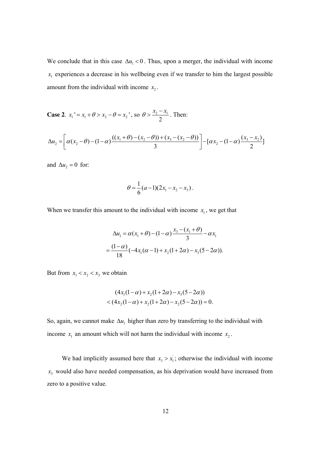We conclude that in this case  $\Delta u_1 < 0$ . Thus, upon a merger, the individual with income  $x_1$  experiences a decrease in his wellbeing even if we transfer to him the largest possible amount from the individual with income  $x_2$ .

**Case 2.**  $x_1' = x_1 + \theta > x_2 - \theta = x_2'$ , so  $\theta > \frac{x_2 - x_1}{2}$  $\theta > \frac{x_2 - x}{2}$ . Then:

$$
\Delta u_2 = \left[ \alpha (x_2 - \theta) - (1 - \alpha) \frac{((x_1 + \theta) - (x_2 - \theta)) + (x_3 - (x_2 - \theta))}{3} \right] - [\alpha x_2 - (1 - \alpha) \frac{(x_3 - x_2)}{2}]
$$

and  $\Delta u_2 = 0$  for:

$$
\theta = \frac{1}{6}(a-1)(2x_1 - x_2 - x_3).
$$

When we transfer this amount to the individual with income  $x_1$ , we get that

$$
\Delta u_1 = \alpha (x_1 + \theta) - (1 - \alpha) \frac{x_3 - (x_1 + \theta)}{3} - \alpha x_1
$$
  
= 
$$
\frac{(1 - \alpha)}{18} (-4x_1(\alpha - 1) + x_2(1 + 2\alpha) - x_3(5 - 2\alpha)).
$$

But from  $x_1 < x_2 < x_3$  we obtain

$$
(4x_1(1-\alpha) + x_2(1+2\alpha) - x_3(5-2\alpha))
$$
  
< 
$$
< (4x_2(1-\alpha) + x_2(1+2\alpha) - x_2(5-2\alpha)) = 0.
$$

So, again, we cannot make  $\Delta u_1$  higher than zero by transferring to the individual with income  $x_1$  an amount which will not harm the individual with income  $x_2$ .

We had implicitly assumed here that  $x_3 > x_1$ ; otherwise the individual with income 3 *x* would also have needed compensation, as his deprivation would have increased from zero to a positive value.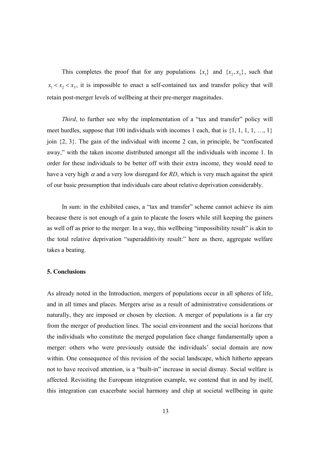This completes the proof that for any populations  $\{x_1\}$  and  $\{x_2, x_3\}$ , such that  $x_1 < x_2 < x_3$ , it is impossible to enact a self-contained tax and transfer policy that will retain post-merger levels of wellbeing at their pre-merger magnitudes.

*Third*, to further see why the implementation of a "tax and transfer" policy will meet hurdles, suppose that 100 individuals with incomes 1 each, that is  $\{1, 1, 1, 1, ..., 1\}$ join {2, 3}. The gain of the individual with income 2 can, in principle, be "confiscated away," with the taken income distributed amongst all the individuals with income 1. In order for these individuals to be better off with their extra income, they would need to have a very high  $\alpha$  and a very low disregard for *RD*, which is very much against the spirit of our basic presumption that individuals care about relative deprivation considerably.

In sum: in the exhibited cases, a "tax and transfer" scheme cannot achieve its aim because there is not enough of a gain to placate the losers while still keeping the gainers as well off as prior to the merger. In a way, this wellbeing "impossibility result" is akin to the total relative deprivation "superadditivity result:" here as there, aggregate welfare takes a beating.

#### **5. Conclusions**

As already noted in the Introduction, mergers of populations occur in all spheres of life, and in all times and places. Mergers arise as a result of administrative considerations or naturally, they are imposed or chosen by election. A merger of populations is a far cry from the merger of production lines. The social environment and the social horizons that the individuals who constitute the merged population face change fundamentally upon a merger: others who were previously outside the individuals' social domain are now within. One consequence of this revision of the social landscape, which hitherto appears not to have received attention, is a "built-in" increase in social dismay. Social welfare is affected. Revisiting the European integration example, we contend that in and by itself, this integration can exacerbate social harmony and chip at societal wellbeing in quite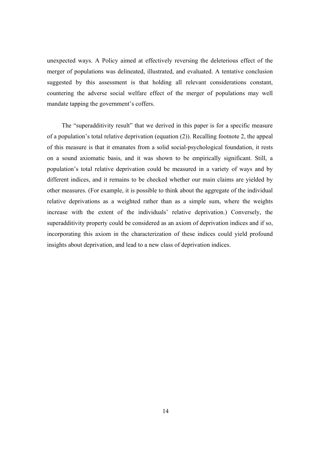unexpected ways. A Policy aimed at effectively reversing the deleterious effect of the merger of populations was delineated, illustrated, and evaluated. A tentative conclusion suggested by this assessment is that holding all relevant considerations constant, countering the adverse social welfare effect of the merger of populations may well mandate tapping the government's coffers.

The "superadditivity result" that we derived in this paper is for a specific measure of a population's total relative deprivation (equation (2)). Recalling footnote 2, the appeal of this measure is that it emanates from a solid social-psychological foundation, it rests on a sound axiomatic basis, and it was shown to be empirically significant. Still, a population's total relative deprivation could be measured in a variety of ways and by different indices, and it remains to be checked whether our main claims are yielded by other measures. (For example, it is possible to think about the aggregate of the individual relative deprivations as a weighted rather than as a simple sum, where the weights increase with the extent of the individuals' relative deprivation.) Conversely, the superadditivity property could be considered as an axiom of deprivation indices and if so, incorporating this axiom in the characterization of these indices could yield profound insights about deprivation, and lead to a new class of deprivation indices.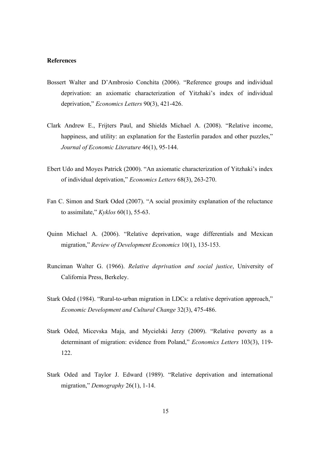#### **References**

- Bossert Walter and D'Ambrosio Conchita (2006). "Reference groups and individual deprivation: an axiomatic characterization of Yitzhaki's index of individual deprivation," *Economics Letters* 90(3), 421-426.
- Clark Andrew E., Frijters Paul, and Shields Michael A. (2008). "Relative income, happiness, and utility: an explanation for the Easterlin paradox and other puzzles," *Journal of Economic Literature* 46(1), 95-144.
- Ebert Udo and Moyes Patrick (2000). "An axiomatic characterization of Yitzhaki's index of individual deprivation," *Economics Letters* 68(3), 263-270.
- Fan C. Simon and Stark Oded (2007). "A social proximity explanation of the reluctance to assimilate," *Kyklos* 60(1), 55-63.
- Quinn Michael A. (2006). "Relative deprivation, wage differentials and Mexican migration," *Review of Development Economics* 10(1), 135-153.
- Runciman Walter G. (1966). *Relative deprivation and social justice*, University of California Press, Berkeley.
- Stark Oded (1984). "Rural-to-urban migration in LDCs: a relative deprivation approach," *Economic Development and Cultural Change* 32(3), 475-486.
- Stark Oded, Micevska Maja, and Mycielski Jerzy (2009). "Relative poverty as a determinant of migration: evidence from Poland," *Economics Letters* 103(3), 119- 122.
- Stark Oded and Taylor J. Edward (1989). "Relative deprivation and international migration," *Demography* 26(1), 1-14.